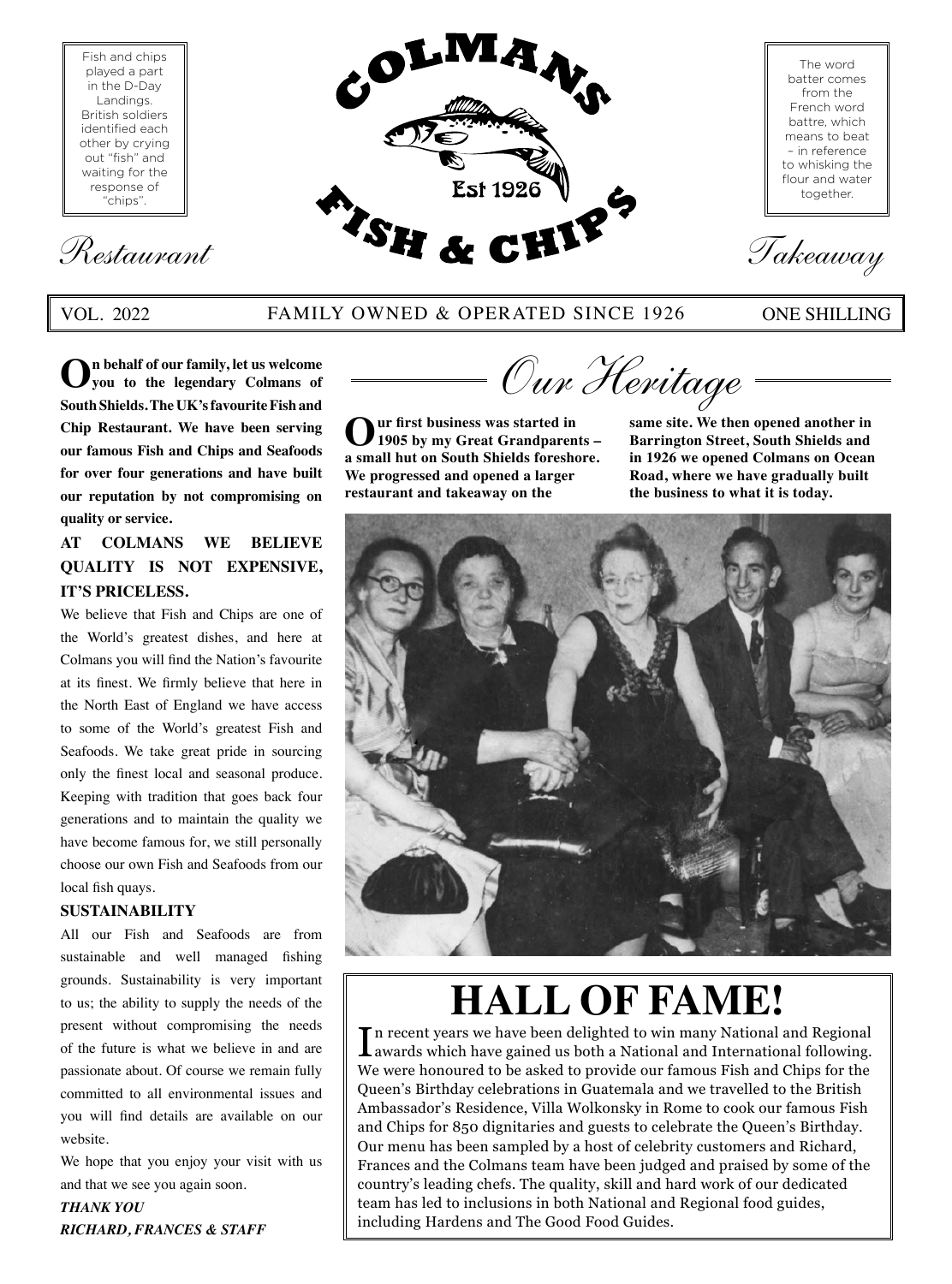Fish and chips played a part in the D-Day Landings. British soldiers identified each other by crying out "fish" and waiting for the response of "chips".

# Restaurant *TSH & CHIF Takeaway*

#### VOL. 2022 FAMILY OWNED & OPERATED SINCE 1926 ONE SHILLING

The word batter comes from the French word battre, which means to beat – in reference to whisking the flour and water together.

**Est 1926** 

**On behalf of our family, let us welcome you to the legendary Colmans of South Shields. The UK's favourite Fish and Chip Restaurant. We have been serving our famous Fish and Chips and Seafoods for over four generations and have built our reputation by not compromising on quality or service.**

#### **AT COLMANS WE BELIEVE QUALITY IS NOT EXPENSIVE, IT'S PRICELESS.**

We believe that Fish and Chips are one of the World's greatest dishes, and here at Colmans you will find the Nation's favourite at its finest. We firmly believe that here in the North East of England we have access to some of the World's greatest Fish and Seafoods. We take great pride in sourcing only the finest local and seasonal produce. Keeping with tradition that goes back four generations and to maintain the quality we have become famous for, we still personally choose our own Fish and Seafoods from our local fish quays.

#### **SUSTAINABILITY**

All our Fish and Seafoods are from sustainable and well managed fishing grounds. Sustainability is very important to us; the ability to supply the needs of the present without compromising the needs of the future is what we believe in and are passionate about. Of course we remain fully committed to all environmental issues and you will find details are available on our website.

We hope that you enjoy your visit with us and that we see you again soon.

*THANK YOU RICHARD, FRANCES & STAFF*



**Our first business was started in 1905 by my Great Grandparents – a small hut on South Shields foreshore. We progressed and opened a larger restaurant and takeaway on the** 

**same site. We then opened another in Barrington Street, South Shields and in 1926 we opened Colmans on Ocean Road, where we have gradually built the business to what it is today.**



# Th recent years we have been delighted to win many National and Regional

 $\prod$ n recent years we have been delighted to win many National and Regional awards which have gained us both a National and International following. awards which have gained us both a National and International following. We were honoured to be asked to provide our famous Fish and Chips for the Queen's Birthday celebrations in Guatemala and we travelled to the British Ambassador's Residence, Villa Wolkonsky in Rome to cook our famous Fish and Chips for 850 dignitaries and guests to celebrate the Queen's Birthday. Our menu has been sampled by a host of celebrity customers and Richard, Frances and the Colmans team have been judged and praised by some of the country's leading chefs. The quality, skill and hard work of our dedicated team has led to inclusions in both National and Regional food guides, including Hardens and The Good Food Guides.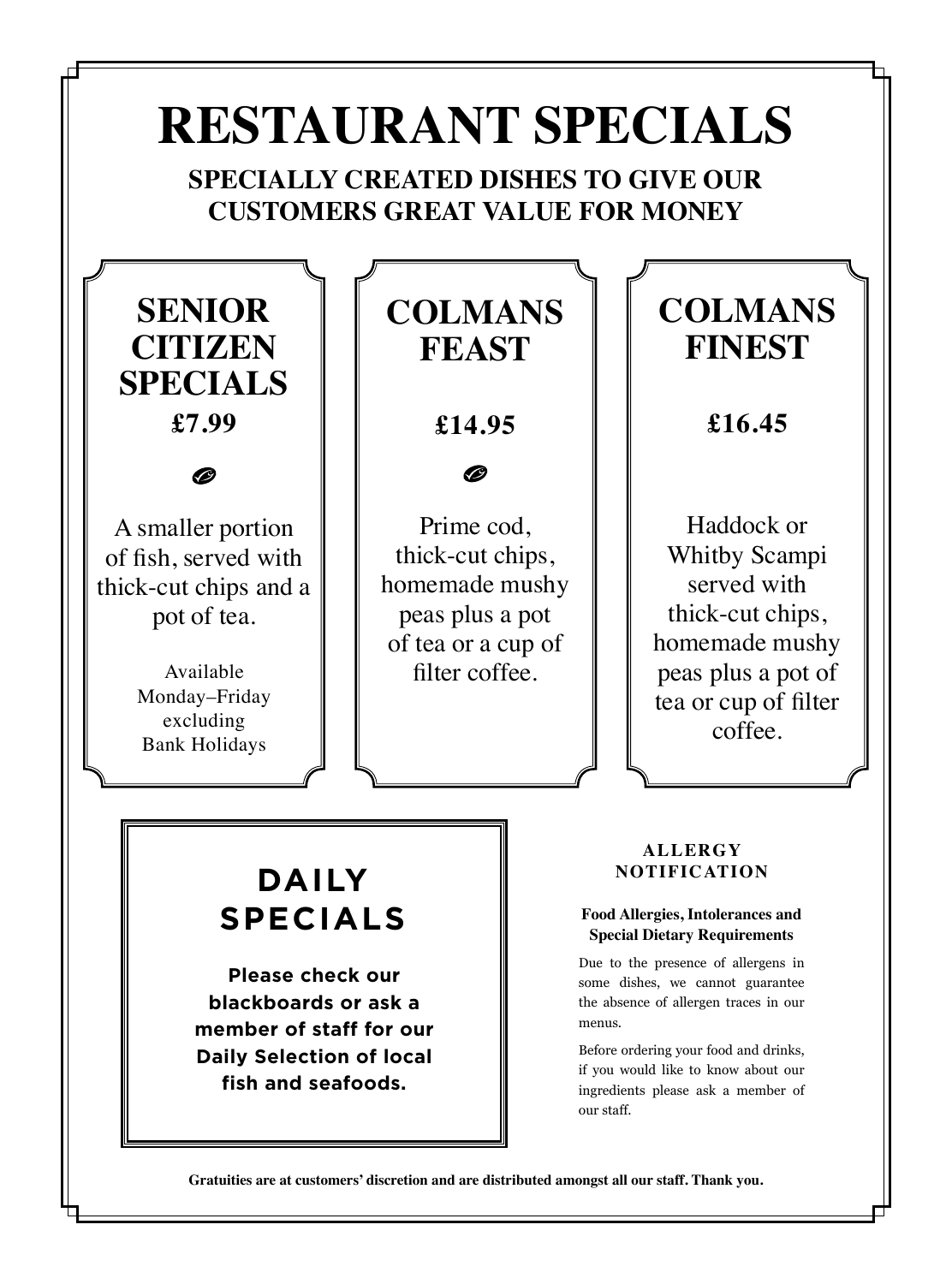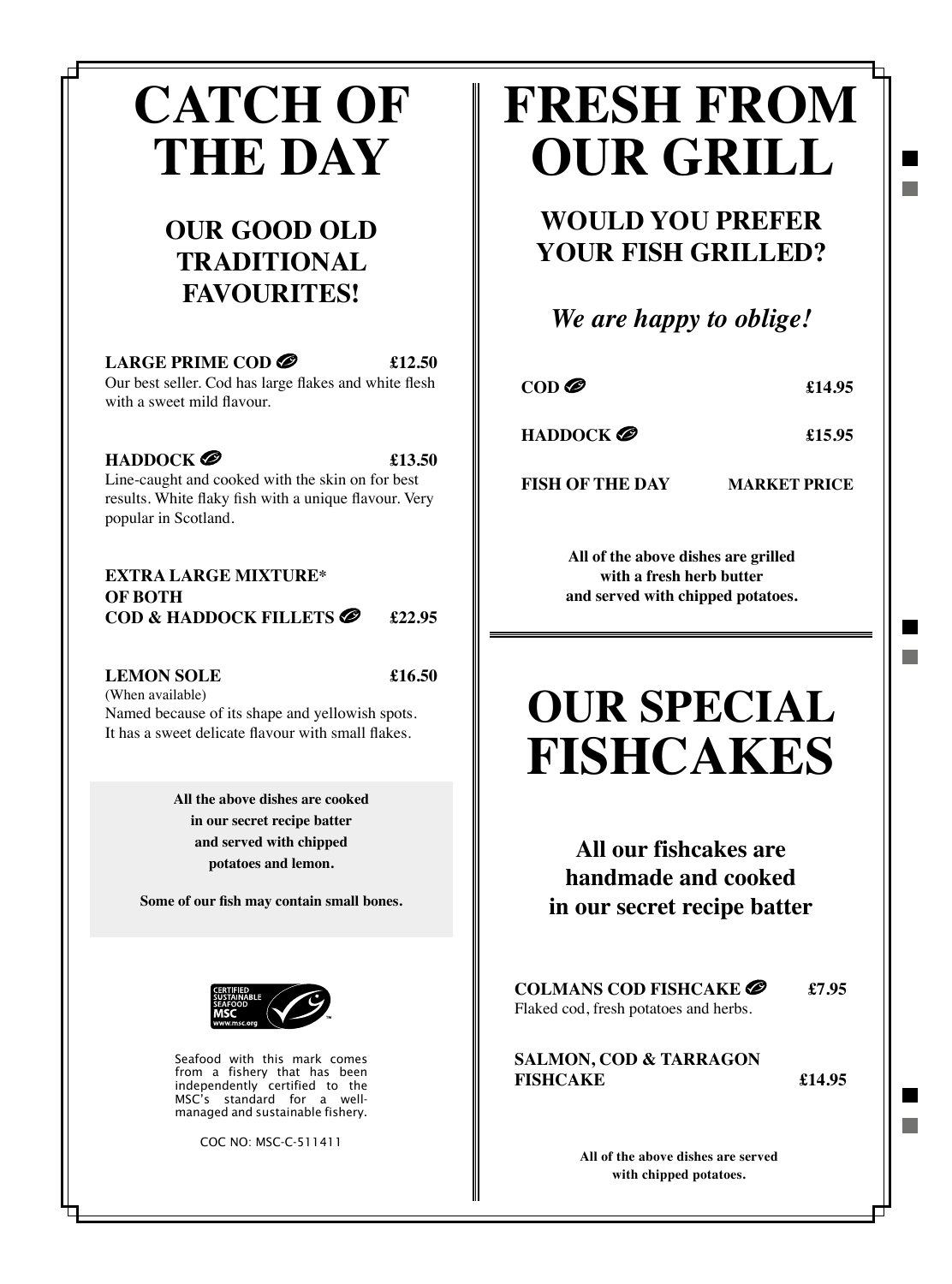## **CATCH OF THE DAY**

#### **OUR GOOD OLD TRADITIONAL FAVOURITES!**

#### LARGE PRIME COD<sup>2</sup> £12.50 Our best seller. Cod has large flakes and white flesh

with a sweet mild flavour.

#### **HADDOCK 2 f**13.50

Line-caught and cooked with the skin on for best results. White flaky fish with a unique flavour. Very popular in Scotland.

#### **EXTRA LARGE MIXTURE\* OF BOTH COD & HADDOCK FILLETS 22.95**

#### **LEMON SOLE £16.50**

(When available) Named because of its shape and yellowish spots. It has a sweet delicate flavour with small flakes.

> **All the above dishes are cooked in our secret recipe batter and served with chipped potatoes and lemon.**

**Some of our fish may contain small bones.**



Seafood with this mark comes from a fishery that has been independently certified to the MSC's standard for a wellmanaged and sustainable fishery.

COC NO: MSC-C-511411

## **FRESH FROM OUR GRILL**

**WOULD YOU PREFER YOUR FISH GRILLED?**

*We are happy to oblige!*

COD **@** \$14.95

**HADDOCK** 2 **f**15.95

**FISH OF THE DAY MARKET PRICE**

**All of the above dishes are grilled with a fresh herb butter and served with chipped potatoes.**

## **OUR SPECIAL FISHCAKES**

**All our fishcakes are handmade and cooked in our secret recipe batter**

**COLMANS COD FISHCAKE £7.95** Flaked cod, fresh potatoes and herbs.

**SALMON, COD & TARRAGON FISHCAKE £14.95**

**All of the above dishes are served with chipped potatoes.**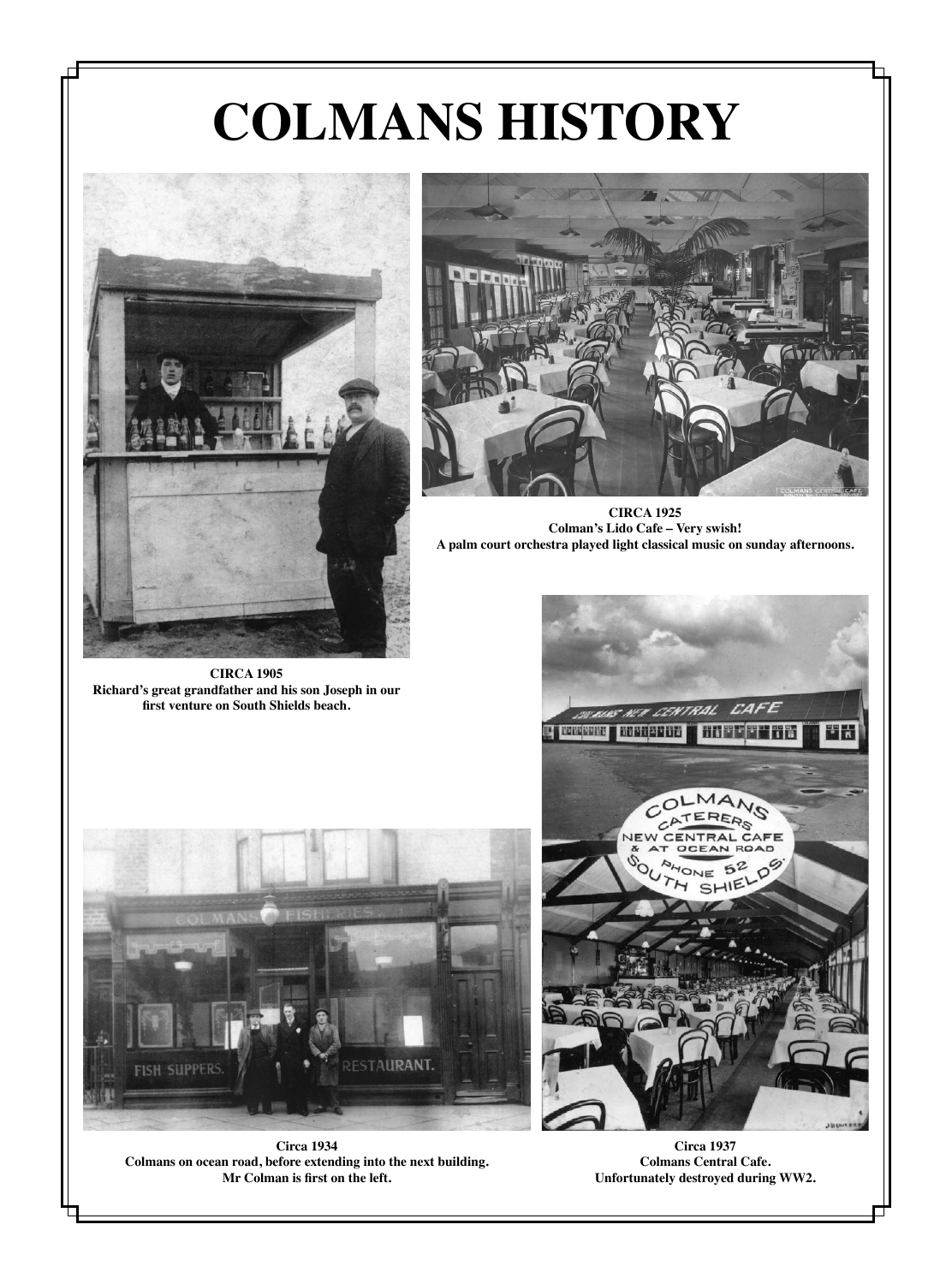# **COLMANS HISTORY**



**CIRCA 1905 Richard's great grandfather and his son Joseph in our first venture on South Shields beach.**



**CIRCA 1925 Colman's Lido Cafe – Very swish! A palm court orchestra played light classical music on sunday afternoons.**



**Circa 1934 Colmans on ocean road, before extending into the next building. Mr Colman is first on the left.**



**Circa 1937 Colmans Central Cafe. Unfortunately destroyed during WW2.**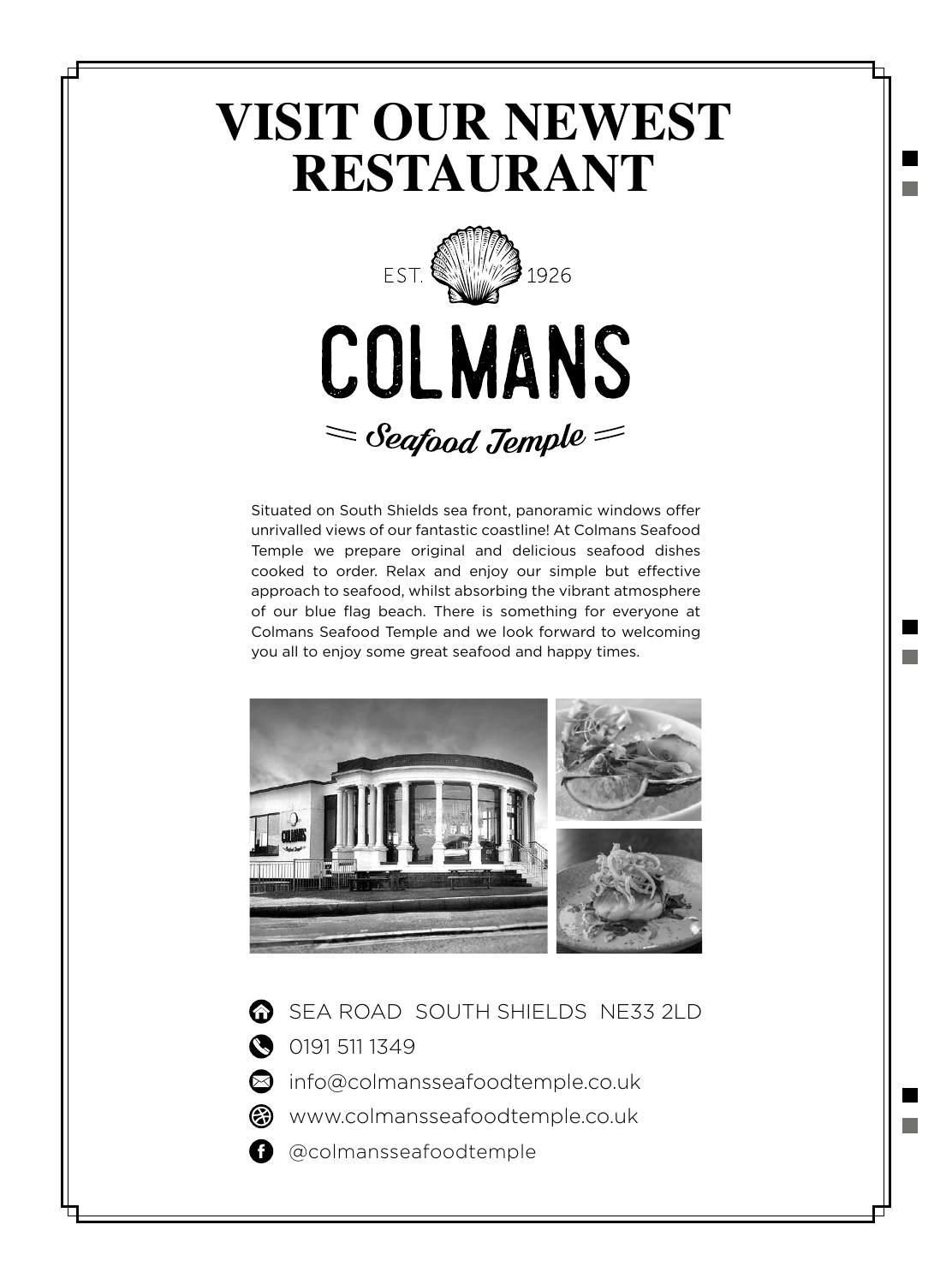## **VISIT OUR NEWEST RESTAURANT**



Situated on South Shields sea front, panoramic windows offer unrivalled views of our fantastic coastline! At Colmans Seafood Temple we prepare original and delicious seafood dishes cooked to order. Relax and enjoy our simple but effective approach to seafood, whilst absorbing the vibrant atmosphere of our blue flag beach. There is something for everyone at Colmans Seafood Temple and we look forward to welcoming you all to enjoy some great seafood and happy times.



SEA ROAD SOUTH SHIELDS NE33 2LD

0191 511 1349

sinfo@colmansseafoodtemple.co.uk

<sup>3</sup> www.colmansseafoodtemple.co.uk

**a** @colmansseafoodtemple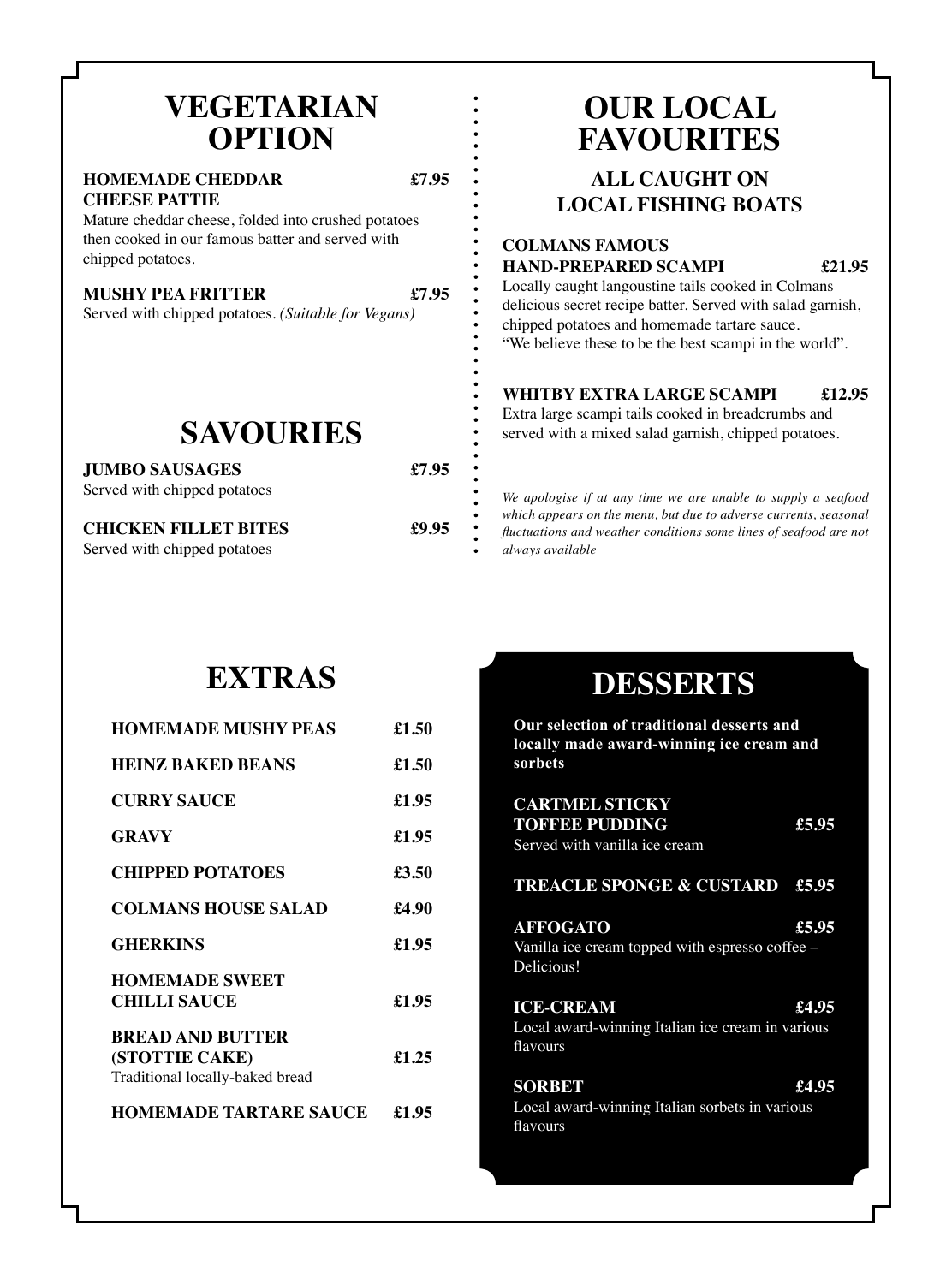#### **VEGETARIAN OPTION**

#### **HOMEMADE CHEDDAR £7.95 CHEESE PATTIE**

Mature cheddar cheese, folded into crushed potatoes then cooked in our famous batter and served with chipped potatoes.

#### **MUSHY PEA FRITTER £7.95**

Served with chipped potatoes

Served with chipped potatoes

Served with chipped potatoes. *(Suitable for Vegans)*

**SAVOURIES**

**JUMBO SAUSAGES £7.95**

**CHICKEN FILLET BITES £9.95**

### **OUR LOCAL FAVOURITES**

#### **ALL CAUGHT ON LOCAL FISHING BOATS**

#### **COLMANS FAMOUS HAND-PREPARED SCAMPI £21.95**

Locally caught langoustine tails cooked in Colmans delicious secret recipe batter. Served with salad garnish, chipped potatoes and homemade tartare sauce. "We believe these to be the best scampi in the world".

#### **WHITBY EXTRA LARGE SCAMPI £12.95**

Extra large scampi tails cooked in breadcrumbs and served with a mixed salad garnish, chipped potatoes.

*We apologise if at any time we are unable to supply a seafood which appears on the menu, but due to adverse currents, seasonal fluctuations and weather conditions some lines of seafood are not always available*

## **EXTRAS**

| <b>HOMEMADE MUSHY PEAS</b>                                                   | £1.50 |
|------------------------------------------------------------------------------|-------|
| <b>HEINZ BAKED BEANS</b>                                                     | £1.50 |
| <b>CURRY SAUCE</b>                                                           | £1.95 |
| <b>GRAVY</b>                                                                 | £1.95 |
| <b>CHIPPED POTATOES</b>                                                      | £3.50 |
| <b>COLMANS HOUSE SALAD</b>                                                   | £4.90 |
| <b>GHERKINS</b>                                                              | £1.95 |
| <b>HOMEMADE SWEET</b><br><b>CHILLI SAUCE</b>                                 | £1.95 |
| <b>BREAD AND BUTTER</b><br>(STOTTIE CAKE)<br>Traditional locally-baked bread | £1.25 |
| <b>HOMEMADE TARTARE SAUCE</b>                                                | £1.95 |

#### **DESSERTS**

**Our selection of traditional desserts and locally made award-winning ice cream and sorbets CARTMEL STICKY**

| <u>CANIMEL SIICNI</u><br><b>TOFFEE PUDDING</b><br>Served with vanilla ice cream  | £5.95 |
|----------------------------------------------------------------------------------|-------|
| TREACLE SPONGE & CUSTARD £5.95                                                   |       |
| <b>AFFOGATO</b><br>Vanilla ice cream topped with espresso coffee –<br>Delicious! | £5.95 |
| <b>ICE-CREAM</b><br>Local award-winning Italian ice cream in various<br>flavours | £4.95 |
| <b>SORBET</b><br>Local award-winning Italian sorbets in various<br>flavours      | £4.95 |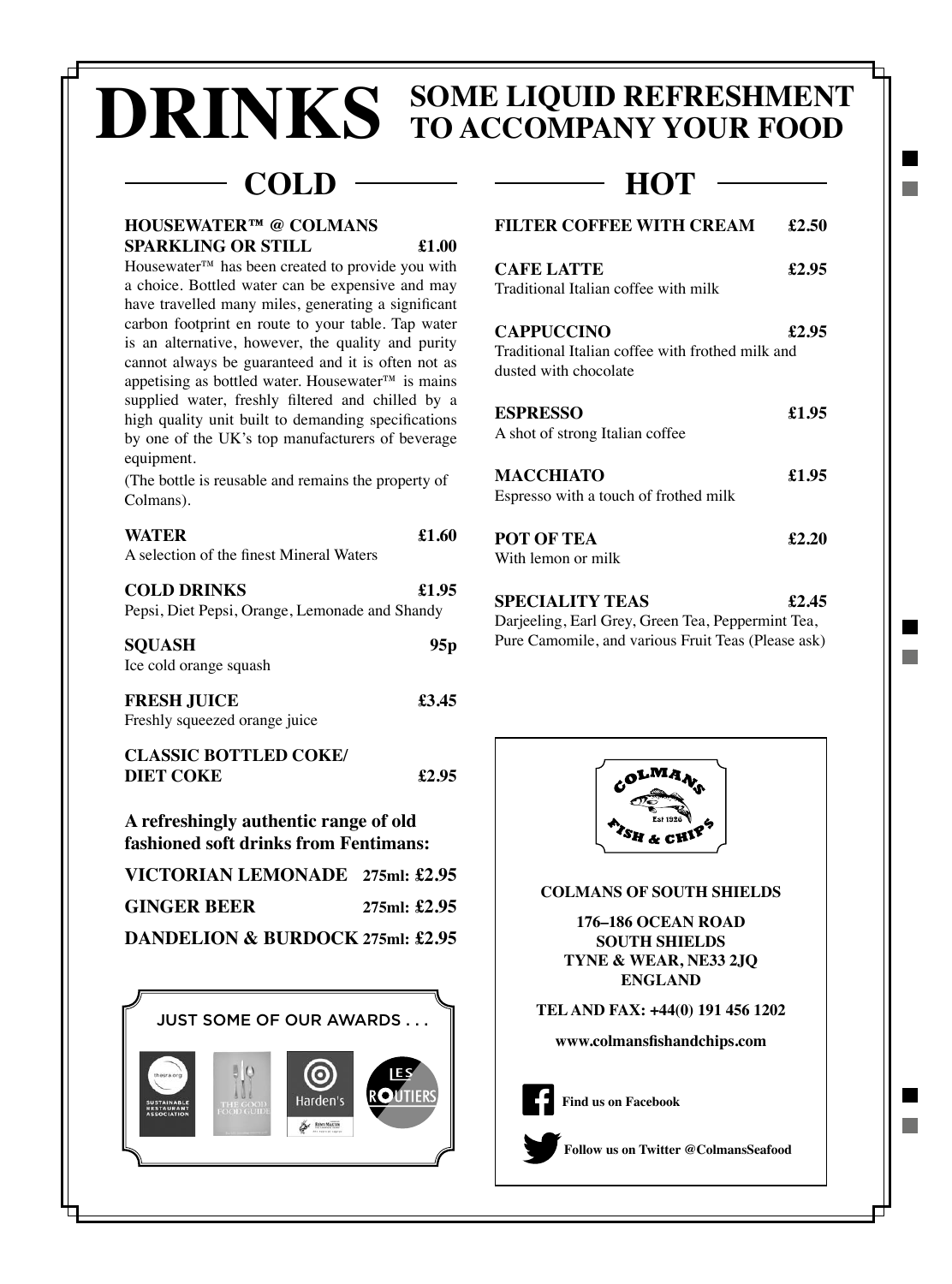# **SOME LIQUID REFRESHMENT DRINKS TO ACCOMPANY YOUR FOOD**

### COLD — HOT

#### **HOUSEWATER™ @ COLMANS SPARKLING OR STILL £1.00**

Housewater™ has been created to provide you with a choice. Bottled water can be expensive and may have travelled many miles, generating a significant carbon footprint en route to your table. Tap water is an alternative, however, the quality and purity cannot always be guaranteed and it is often not as appetising as bottled water. Housewater™ is mains supplied water, freshly filtered and chilled by a high quality unit built to demanding specifications by one of the UK's top manufacturers of beverage equipment.

(The bottle is reusable and remains the property of Colmans).

| <b>WATER</b><br>A selection of the finest Mineral Waters             | £1.60 |
|----------------------------------------------------------------------|-------|
| <b>COLD DRINKS</b><br>Pepsi, Diet Pepsi, Orange, Lemonade and Shandy | £1.95 |
| <b>SQUASH</b><br>Ice cold orange squash                              | 95p   |
| <b>FRESH JUICE</b><br>Freshly squeezed orange juice                  | £3.45 |
| <b>CLASSIC BOTTLED COKE/</b><br><b>DIET COKE</b>                     | £2.95 |

#### **A refreshingly authentic range of old fashioned soft drinks from Fentimans:**

| VICTORIAN LEMONADE 275ml: £2.95  |                |  |
|----------------------------------|----------------|--|
| <b>GINGER BEER</b>               | 275ml: $£2.95$ |  |
| DANDELION & BURDOCK 275ml: £2.95 |                |  |



| <b>FILTER COFFEE WITH CREAM</b>                                                                | £2.50 |
|------------------------------------------------------------------------------------------------|-------|
| <b>CAFE LATTE</b><br>Traditional Italian coffee with milk                                      | £2.95 |
| <b>CAPPUCCINO</b><br>Traditional Italian coffee with frothed milk and<br>dusted with chocolate | £2.95 |
| <b>ESPRESSO</b><br>A shot of strong Italian coffee                                             | £1.95 |
| <b>MACCHIATO</b><br>Espresso with a touch of frothed milk                                      | £1.95 |
| <b>POT OF TEA</b><br>With lemon or milk                                                        | £2.20 |
|                                                                                                |       |

**SPECIALITY TEAS £2.45** Darjeeling, Earl Grey, Green Tea, Peppermint Tea, Pure Camomile, and various Fruit Teas (Please ask)